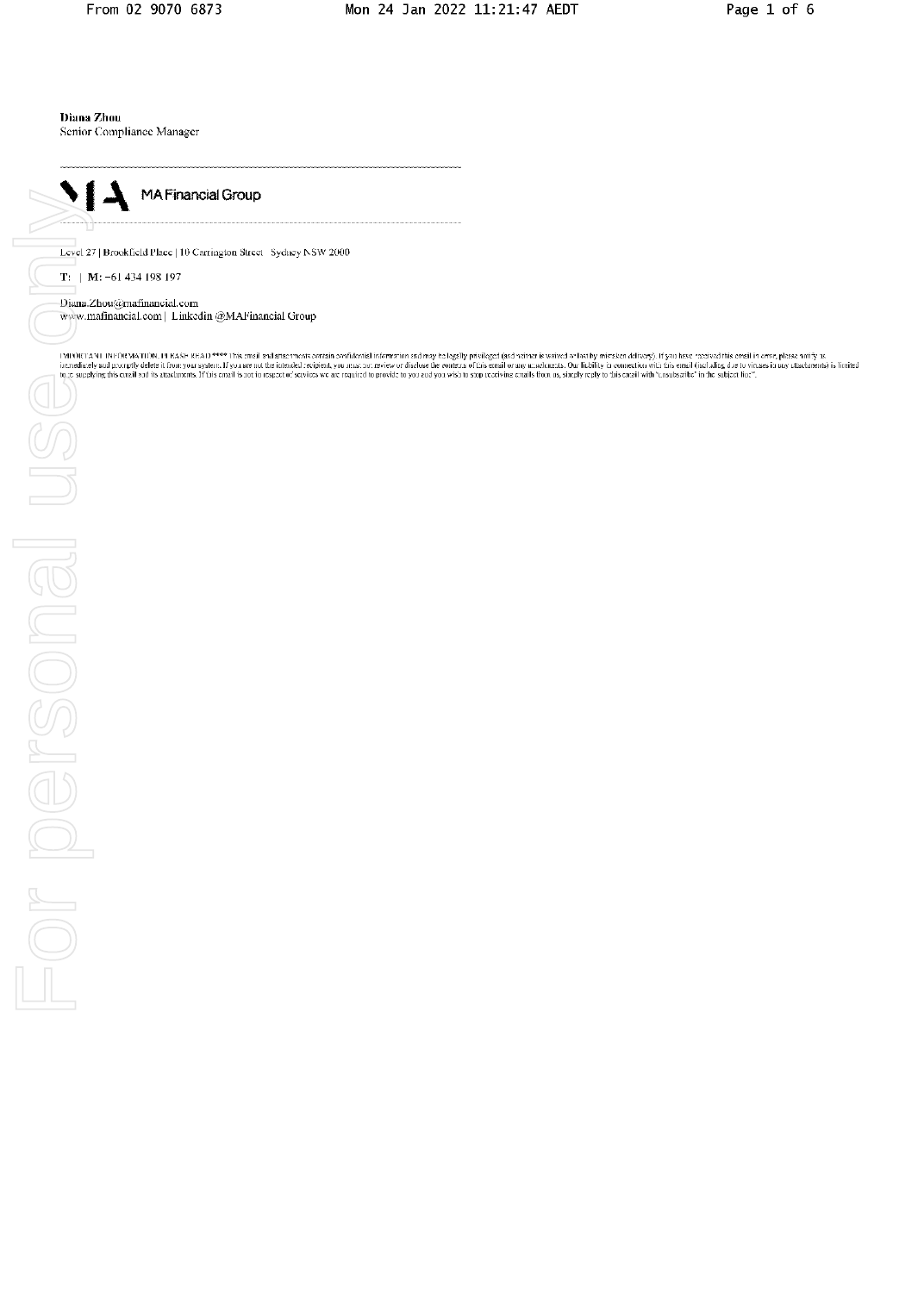Diana Zhou

Senior Compliance Manager



Level 27 | Brookfield Place | 10 Carrington Street Sydney NSW 2000

 $T: |M: -61434198197$ 

Diana.Zhou@mafinancial.com www.mafinancial.com | Linkedin @MAFinancial Group

| WERTAN | INFORMATION, IT BASE READ \*\*\*\* This mail and affactments contain conditional information and may be logally privileged (and nature is saived as lost by mission delivery). If you have needed with the mail forms,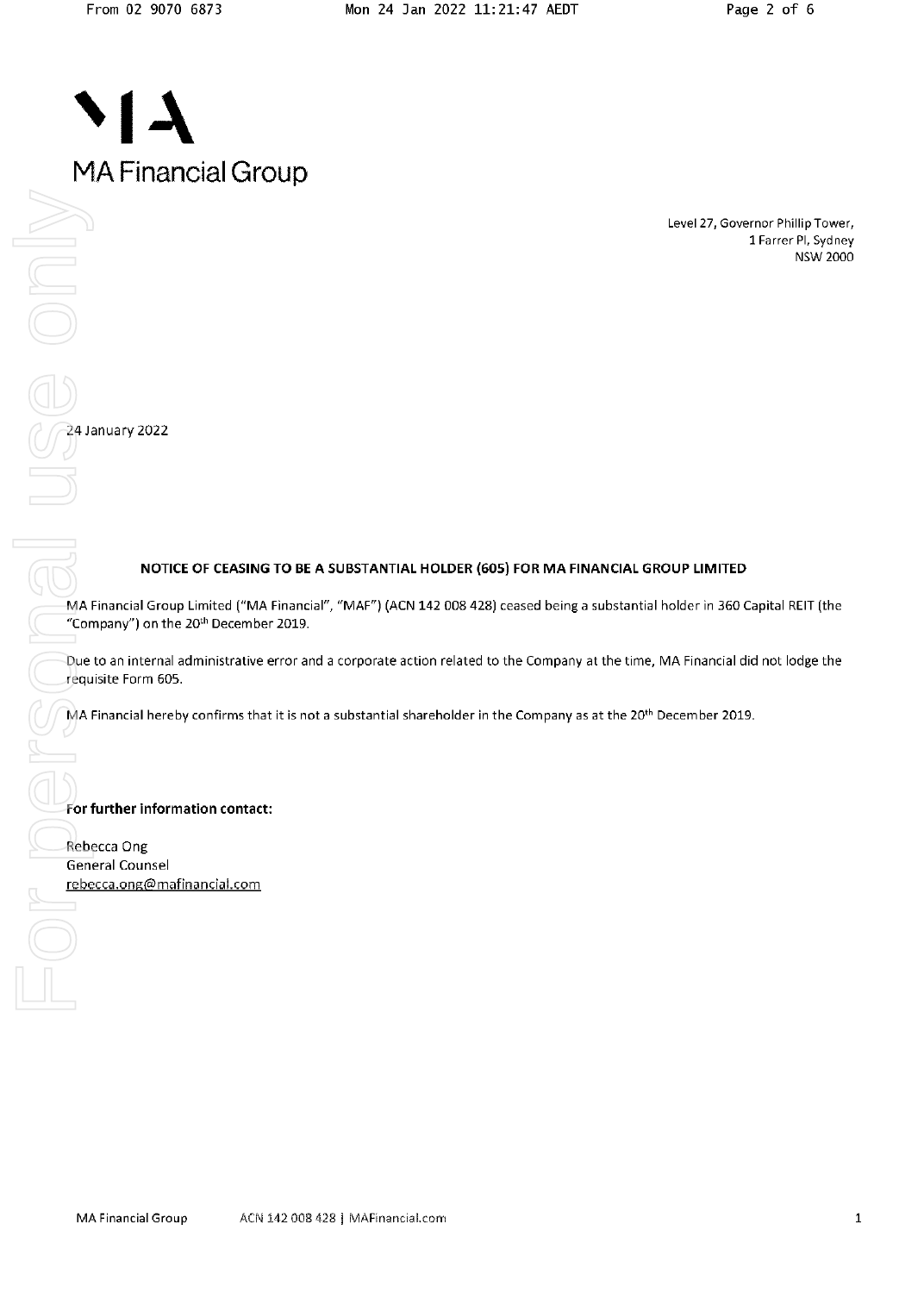Level 27, Governor Phillip Tower, 1 Farrer Pl, Sydney **NSW 2000** 

 $1/24$  January 2022

## NOTICE OF CEASING TO BE A SUBSTANTIAL HOLDER (605) FOR MA FINANCIAL GROUP LIMITED

MA Financial Group Limited ("MA Financial", "MAF") (ACN 142 008 428) ceased being a substantial holder in 360 Capital REIT (the "Company") on the 20<sup>th</sup> December 2019.

Due to an internal administrative error and a corporate action related to the Company at the time, MA Financial did not lodge the requisite Form 605.

MA Financial hereby confirms that it is not a substantial shareholder in the Company as at the 20<sup>th</sup> December 2019.

### For further information contact:

Rebecca Ong General Counsel rebecca.ong@mafinancial.com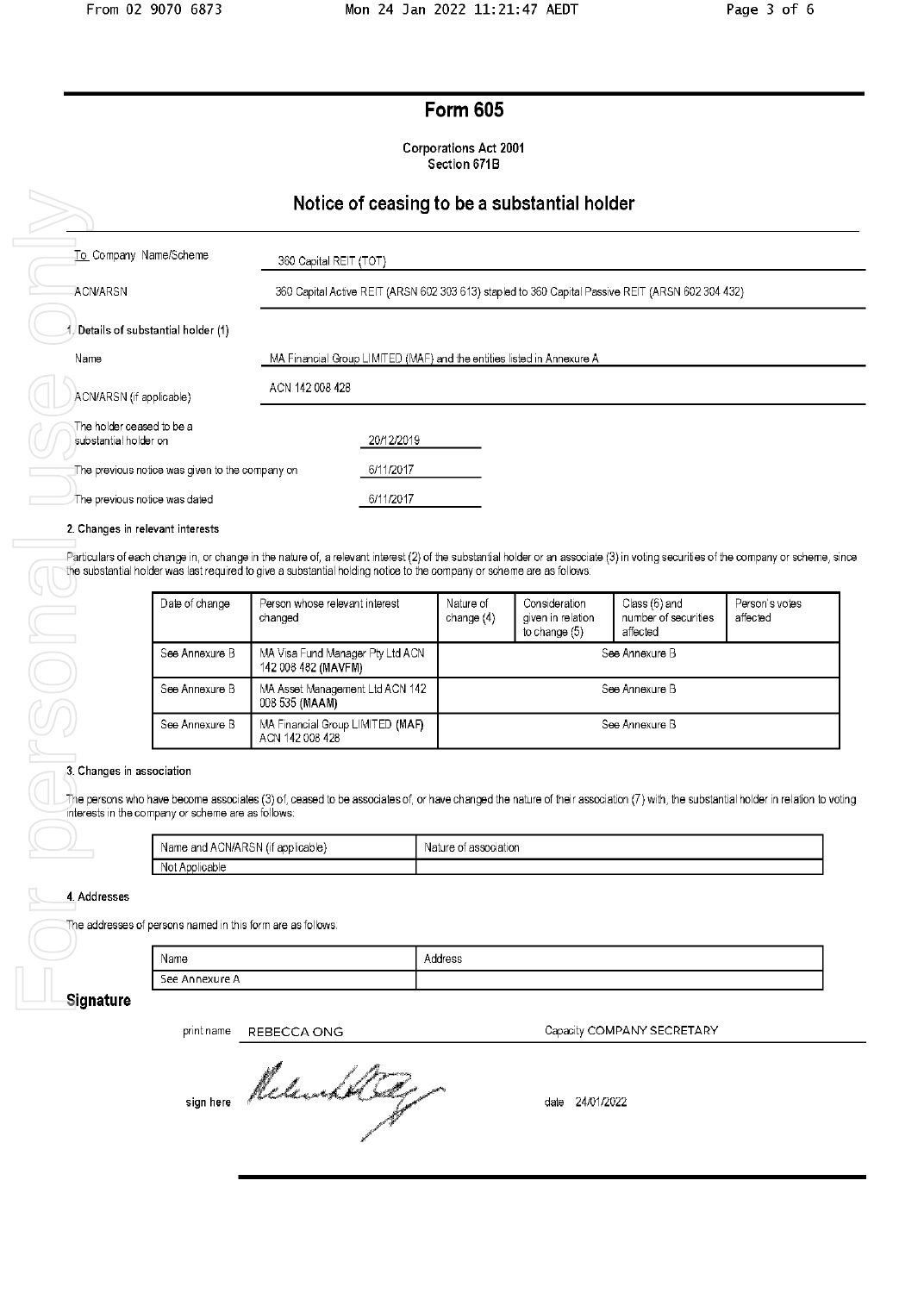# **Form 605**

**Corporations Act 2001** Section 671B

## Notice of ceasing to be a substantial holder

|                                                    | induce of ceasing to be a substantial noider                                                      |
|----------------------------------------------------|---------------------------------------------------------------------------------------------------|
| To Company Name/Scheme                             | 360 Capital REIT (TOT)                                                                            |
| <b>ACN/ARSN</b>                                    | 360 Capital Active REIT (ARSN 602 303 613) stapled to 360 Capital Passive REIT (ARSN 602 304 432) |
| Details of substantial holder (1)                  |                                                                                                   |
| Name                                               | MA Financial Group LIMITED (MAF) and the entities listed in Annexure A                            |
| ACN/ARSN (if applicable)                           | ACN 142 008 428                                                                                   |
| The holder ceased to be a<br>substantial holder on | 20/12/2019                                                                                        |
| The previous notice was given to the company on    | 6/11/2017                                                                                         |
| The previous notice was dated                      | 6/11/2017                                                                                         |
|                                                    |                                                                                                   |

2. Changes in relevant interests

Particulars of each change in, or change in the nature of, a relevant interest (2) of the substantial holder or an associate (3) in voting securities of the company or scheme, since the substantial holder was last required to give a substantial holding notice to the company or scheme are as follows:

| Date of change | Person whose relevant interest<br>changed               | Nature of<br>change $(4)$ | Consideration<br>given in relation<br>to change $(5)$ | Class (6) and<br>number of securities<br>affected | Person's votes<br>affected |
|----------------|---------------------------------------------------------|---------------------------|-------------------------------------------------------|---------------------------------------------------|----------------------------|
| See Annexure B | MA Visa Fund Manager Pty Ltd ACN<br>142 008 482 (MAVFM) | See Annexure B            |                                                       |                                                   |                            |
| See Annexure B | MA Asset Management Ltd ACN 142<br>008 535 (MAAM)       | See Annexure B            |                                                       |                                                   |                            |
| See Annexure B | MA Financial Group LIMITED (MAF)<br>ACN 142 008 428     | See Annexure B            |                                                       |                                                   |                            |

#### 3. Changes in association

The persons who have become associates (3) of, ceased to be associates of, or have changed the nature of their association (7) with, the substantial holder in relation to voting interests in the company or scheme are as follows:

| Name and ACN/ARSN (it | association |
|-----------------------|-------------|
| applicable):          | Nature of   |
| Not Applicable        |             |

4. Addresses

The addresses of persons named in this form are as follows:

| Name           | . .<br>odrac<br>1441 <del>0</del> 33 |
|----------------|--------------------------------------|
| See Annexure A |                                      |

### Signature

print name REBECCA ONG

sign here Relevant By

Capacity COMPANY SECRETARY

date 24/01/2022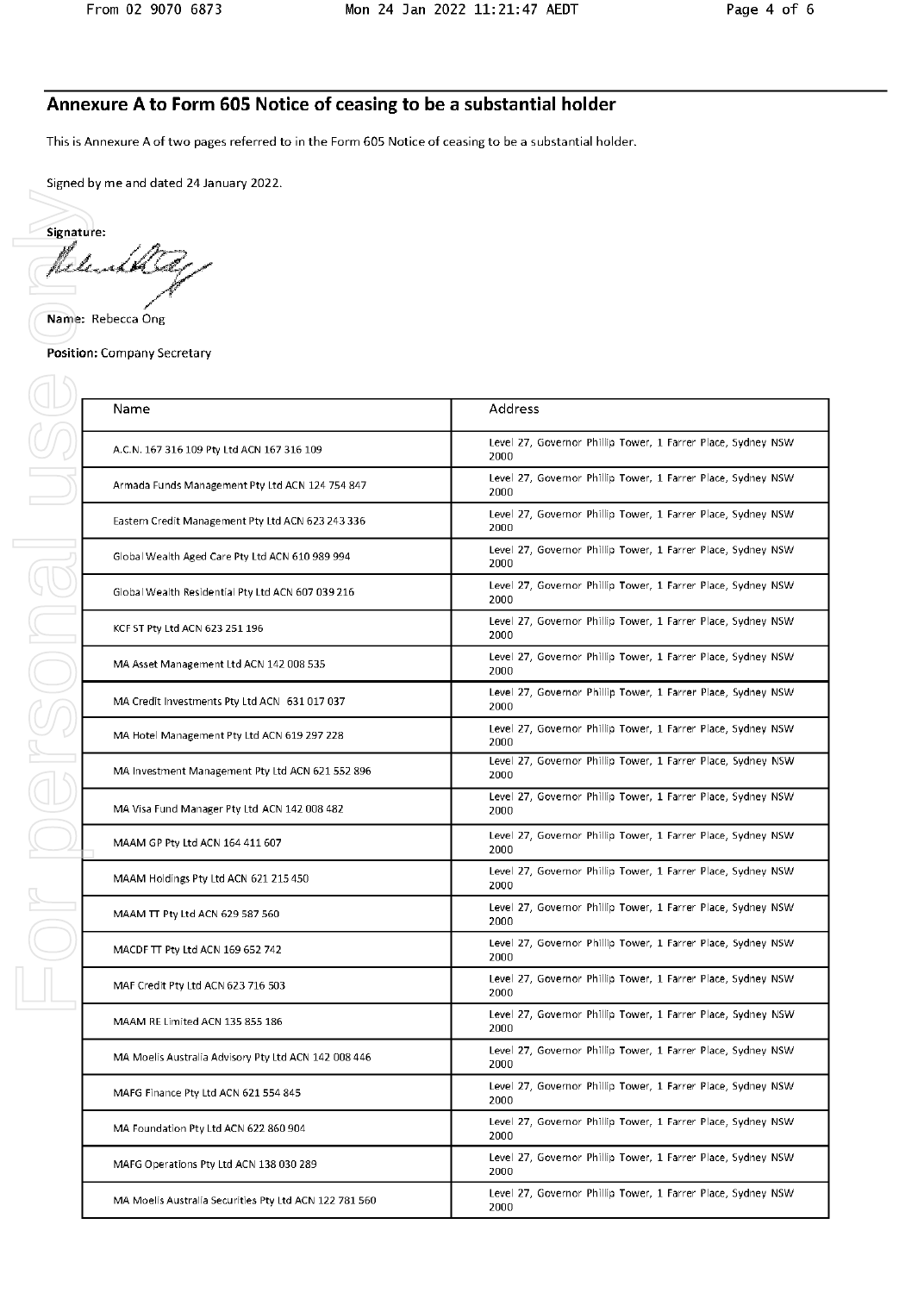# Annexure A to Form 605 Notice of ceasing to be a substantial holder

This is Annexure A of two pages referred to in the Form 605 Notice of ceasing to be a substantial holder.

Signed by me and dated 24 January 2022.

Signature: fel. ىكى،

Name: Rebecca Ong

**FOILDELSONSULLE** 

**Position: Company Secretary** 

| Name                                                   | Address                                                              |  |  |  |
|--------------------------------------------------------|----------------------------------------------------------------------|--|--|--|
| A.C.N. 167 316 109 Pty Ltd ACN 167 316 109             | Level 27, Governor Phillip Tower, 1 Farrer Place, Sydney NSW<br>2000 |  |  |  |
| Armada Funds Management Pty Ltd ACN 124 754 847        | Level 27, Governor Phillip Tower, 1 Farrer Place, Sydney NSW<br>2000 |  |  |  |
| Eastern Credit Management Pty Ltd ACN 623 243 336      | Level 27, Governor Phillip Tower, 1 Farrer Place, Sydney NSW<br>2000 |  |  |  |
| Global Wealth Aged Care Pty Ltd ACN 610 989 994        | Level 27, Governor Phillip Tower, 1 Farrer Place, Sydney NSW<br>2000 |  |  |  |
| Global Wealth Residential Pty Ltd ACN 607 039 216      | Level 27, Governor Phillip Tower, 1 Farrer Place, Sydney NSW<br>2000 |  |  |  |
| KCF ST Pty Ltd ACN 623 251 196                         | Level 27, Governor Phillip Tower, 1 Farrer Place, Sydney NSW<br>2000 |  |  |  |
| MA Asset Management Ltd ACN 142 008 535                | Level 27, Governor Phillip Tower, 1 Farrer Place, Sydney NSW<br>2000 |  |  |  |
| MA Credit Investments Pty Ltd ACN 631 017 037          | Level 27, Governor Phillip Tower, 1 Farrer Place, Sydney NSW<br>2000 |  |  |  |
| MA Hotel Management Pty Ltd ACN 619 297 228            | Level 27, Governor Phillip Tower, 1 Farrer Place, Sydney NSW<br>2000 |  |  |  |
| MA Investment Management Pty Ltd ACN 621 552 896       | Level 27, Governor Phillip Tower, 1 Farrer Place, Sydney NSW<br>2000 |  |  |  |
| MA Visa Fund Manager Pty Ltd ACN 142 008 482           | Level 27, Governor Phillip Tower, 1 Farrer Place, Sydney NSW<br>2000 |  |  |  |
| MAAM GP Pty Ltd ACN 164 411 607                        | Level 27, Governor Phillip Tower, 1 Farrer Place, Sydney NSW<br>2000 |  |  |  |
| MAAM Holdings Pty Ltd ACN 621 215 450                  | Level 27, Governor Phillip Tower, 1 Farrer Place, Sydney NSW<br>2000 |  |  |  |
| MAAM TT Pty Ltd ACN 629 587 560                        | Level 27, Governor Phillip Tower, 1 Farrer Place, Sydney NSW<br>2000 |  |  |  |
| MACDF TT Pty Ltd ACN 169 652 742                       | Level 27, Governor Phillip Tower, 1 Farrer Place, Sydney NSW<br>2000 |  |  |  |
| MAF Credit Pty Ltd ACN 623 716 503                     | Level 27, Governor Phillip Tower, 1 Farrer Place, Sydney NSW<br>2000 |  |  |  |
| MAAM RE Limited ACN 135 855 186                        | Level 27, Governor Phillip Tower, 1 Farrer Place, Sydney NSW<br>2000 |  |  |  |
| MA Moelis Australia Advisory Pty Ltd ACN 142 008 446   | Level 27, Governor Phillip Tower, 1 Farrer Place, Sydney NSW<br>2000 |  |  |  |
| MAFG Finance Pty Ltd ACN 621 554 845                   | Level 27, Governor Phillip Tower, 1 Farrer Place, Sydney NSW<br>2000 |  |  |  |
| MA Foundation Pty Ltd ACN 622 860 904                  | Level 27, Governor Phillip Tower, 1 Farrer Place, Sydney NSW<br>2000 |  |  |  |
| MAFG Operations Pty Ltd ACN 138 030 289                | Level 27, Governor Phillip Tower, 1 Farrer Place, Sydney NSW<br>2000 |  |  |  |
| MA Moelis Australia Securities Pty Ltd ACN 122 781 560 | Level 27, Governor Phillip Tower, 1 Farrer Place, Sydney NSW<br>2000 |  |  |  |
|                                                        |                                                                      |  |  |  |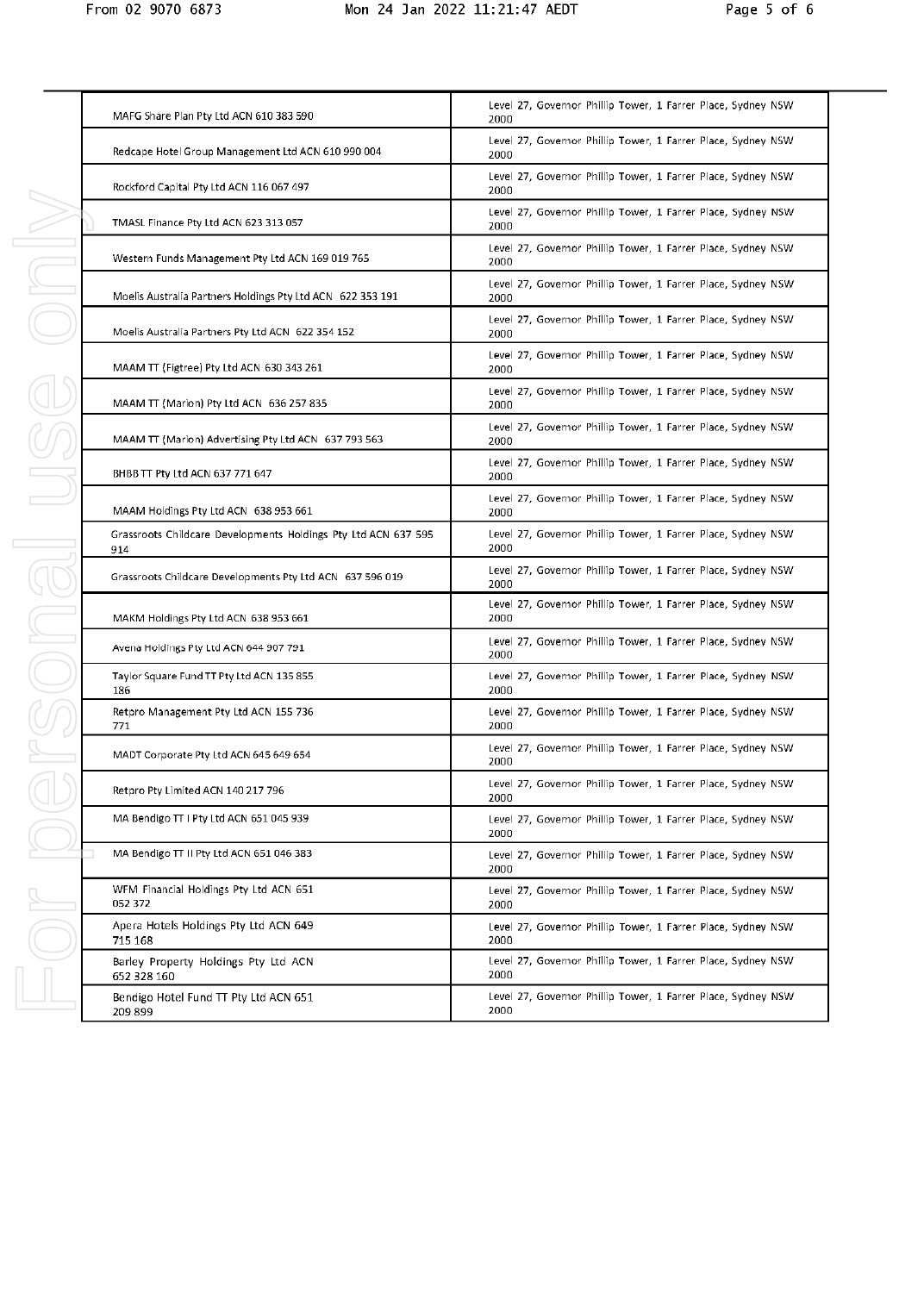| MAFG Share Plan Pty Ltd ACN 610 383 590                               | Level 27, Governor Phillip Tower, 1 Farrer Place, Sydney NSW<br>2000 |
|-----------------------------------------------------------------------|----------------------------------------------------------------------|
| Redcape Hotel Group Management Ltd ACN 610 990 004                    | Level 27, Governor Phillip Tower, 1 Farrer Place, Sydney NSW<br>2000 |
| Rockford Capital Pty Ltd ACN 116 067 497                              | Level 27, Governor Phillip Tower, 1 Farrer Place, Sydney NSW<br>2000 |
| TMASL Finance Pty Ltd ACN 623 313 057                                 | Level 27, Governor Phillip Tower, 1 Farrer Place, Sydney NSW<br>2000 |
| Western Funds Management Pty Ltd ACN 169 019 765                      | Level 27, Governor Phillip Tower, 1 Farrer Place, Sydney NSW<br>2000 |
| Moelis Australia Partners Holdings Pty Ltd ACN 622 353 191            | Level 27, Governor Phillip Tower, 1 Farrer Place, Sydney NSW<br>2000 |
| Moelis Australia Partners Pty Ltd ACN 622 354 152                     | Level 27, Governor Phillip Tower, 1 Farrer Place, Sydney NSW<br>2000 |
| MAAM TT (Figtree) Pty Ltd ACN 630 343 261                             | Level 27, Governor Phillip Tower, 1 Farrer Place, Sydney NSW<br>2000 |
| MAAM TT (Marion) Pty Ltd ACN 636 257 835                              | Level 27, Governor Phillip Tower, 1 Farrer Place, Sydney NSW<br>2000 |
| MAAM TT (Marion) Advertising Pty Ltd ACN 637 793 563                  | Level 27, Governor Phillip Tower, 1 Farrer Place, Sydney NSW<br>2000 |
| BHBB TT Pty Ltd ACN 637 771 647                                       | Level 27, Governor Phillip Tower, 1 Farrer Place, Sydney NSW<br>2000 |
| MAAM Holdings Pty Ltd ACN 638 953 661                                 | Level 27, Governor Phillip Tower, 1 Farrer Place, Sydney NSW<br>2000 |
| Grassroots Childcare Developments Holdings Pty Ltd ACN 637 595<br>914 | Level 27, Governor Phillip Tower, 1 Farrer Place, Sydney NSW<br>2000 |
| Grassroots Childcare Developments Pty Ltd ACN 637 596 019             | Level 27, Governor Phillip Tower, 1 Farrer Place, Sydney NSW<br>2000 |
| MAKM Holdings Pty Ltd ACN 638 953 661                                 | Level 27, Governor Phillip Tower, 1 Farrer Place, Sydney NSW<br>2000 |
| Avena Holdings Pty Ltd ACN 644 907 791                                | Level 27, Governor Phillip Tower, 1 Farrer Place, Sydney NSW<br>2000 |
| Taylor Square Fund TT Pty Ltd ACN 135 855<br>186                      | Level 27, Governor Phillip Tower, 1 Farrer Place, Sydney NSW<br>2000 |
| Retpro Management Pty Ltd ACN 155 736<br>771                          | Level 27, Governor Phillip Tower, 1 Farrer Place, Sydney NSW<br>2000 |
| MADT Corporate Pty Ltd ACN 645 649 654                                | Level 27, Governor Phillip Tower, 1 Farrer Place, Sydney NSW<br>2000 |
| Retpro Pty Limited ACN 140 217 796                                    | Level 27, Governor Phillip Tower, 1 Farrer Place, Sydney NSW<br>2000 |
| MA Bendigo TT I Pty Ltd ACN 651 045 939                               | Level 27, Governor Phillip Tower, 1 Farrer Place, Sydney NSW<br>2000 |
| MA Bendigo TT II Pty Ltd ACN 651 046 383                              | Level 27, Governor Phillip Tower, 1 Farrer Place, Sydney NSW<br>2000 |
| WFM Financial Holdings Pty Ltd ACN 651<br>052 372                     | Level 27, Governor Phillip Tower, 1 Farrer Place, Sydney NSW<br>2000 |
| Apera Hotels Holdings Pty Ltd ACN 649<br>715 168                      | Level 27, Governor Phillip Tower, 1 Farrer Place, Sydney NSW<br>2000 |
| Barley Property Holdings Pty Ltd ACN<br>652 328 160                   | Level 27, Governor Phillip Tower, 1 Farrer Place, Sydney NSW<br>2000 |
| Bendigo Hotel Fund TT Pty Ltd ACN 651<br>209899                       | Level 27, Governor Phillip Tower, 1 Farrer Place, Sydney NSW<br>2000 |